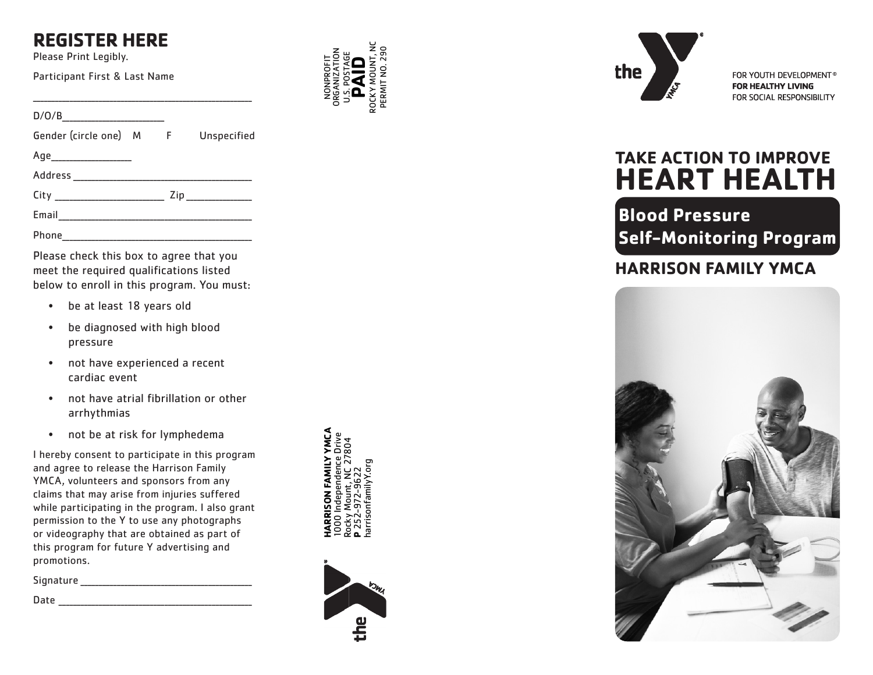# **REGISTER HERE**

Please Print Legibly.

Participant First & Last Name

 $D/O/B$ Gender (circle one) M Unspecified Age\_\_\_\_\_\_\_\_\_\_\_\_\_\_\_\_\_\_\_\_\_\_ Address \_\_\_\_\_\_\_\_\_\_\_\_\_\_\_\_\_\_\_\_\_\_\_\_\_\_\_\_\_\_\_\_\_\_\_\_\_\_\_\_\_\_\_\_\_\_\_\_\_

City \_\_\_\_\_\_\_\_\_\_\_\_\_\_\_\_\_\_\_\_\_\_\_\_\_\_\_\_\_\_ Zip \_\_\_\_\_\_\_\_\_\_\_\_\_\_\_\_\_\_

\_\_\_\_\_\_\_\_\_\_\_\_\_\_\_\_\_\_\_\_\_\_\_\_\_\_\_\_\_\_\_\_\_\_\_\_\_\_\_\_\_\_\_\_\_\_\_\_\_\_\_\_\_\_\_\_\_\_\_\_

Email\_\_\_\_\_\_\_\_\_\_\_\_\_\_\_\_\_\_\_\_\_\_\_\_\_\_\_\_\_\_\_\_\_\_\_\_\_\_\_\_\_\_\_\_\_\_\_\_\_\_\_\_\_

Phone\_\_\_\_\_\_\_\_\_\_\_\_\_\_\_\_\_\_\_\_\_\_\_\_\_\_\_\_\_\_\_\_\_\_\_\_\_\_\_\_\_\_\_\_\_\_\_\_\_\_\_\_

Please check this box to agree that you meet the required qualifications listed below to enroll in this program. You must:

- be at least 18 years old
- be diagnosed with high blood pressure
- not have experienced a recent cardiac event
- not have atrial fibrillation or other arrhythmias
- not be at risk for lymphedema

I hereby consent to participate in this program and agree to release the Harrison Family YMCA, volunteers and sponsors from any claims that may arise from injuries suffered while participating in the program. I also grant permission to the Y to use any photographs or videography that are obtained as part of this program for future Y advertising and promotions.

Signature \_\_\_\_\_\_\_\_\_\_\_\_\_\_\_\_\_\_\_\_\_\_\_\_\_\_\_\_\_\_\_\_\_\_\_\_\_\_\_\_\_\_\_\_\_\_\_

 $Date$ 



NONPROFIT ORGANIZATION U.S. POSTAGE **PAID** ROCKY MOUNT, NC PERMIT NO. 290





FOR YOUTH DEVELOPMENT® **FOR HEALTHY LIVING** FOR SOCIAL RESPONSIBILITY

# **TAKE ACTION TO IMPROVE HEART HEALTH**

**Blood Pressure Self-Monitoring Program**

# **HARRISON FAMILY YMCA**